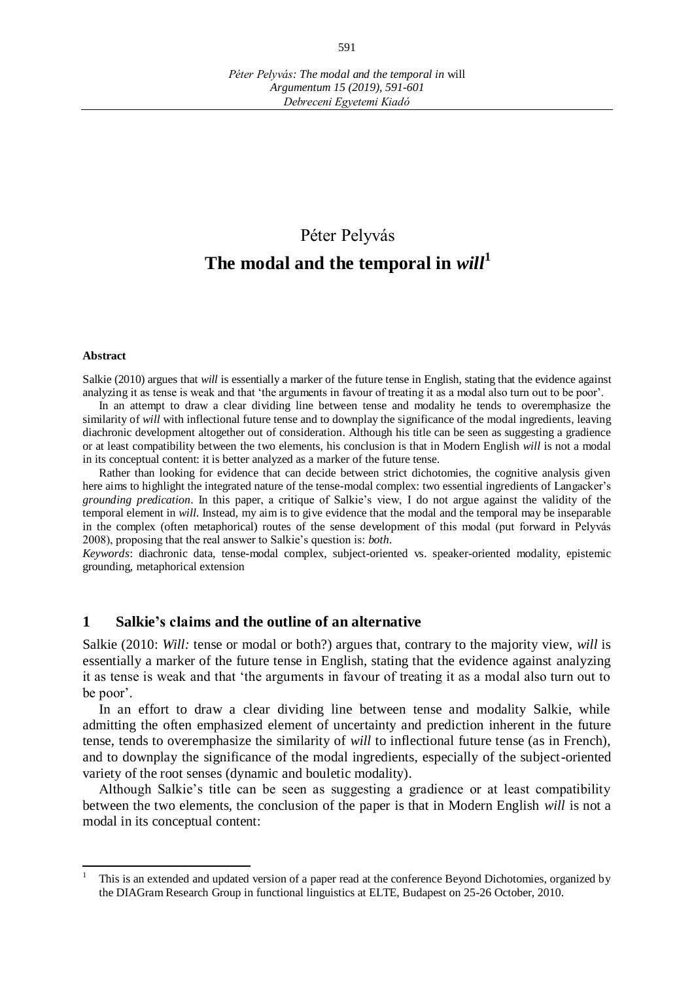# Péter Pelyvás **The modal and the temporal in** *will***<sup>1</sup>**

#### **Abstract**

 $\overline{a}$ 

Salkie (2010) argues that *will* is essentially a marker of the future tense in English, stating that the evidence against analyzing it as tense is weak and that 'the arguments in favour of treating it as a modal also turn out to be poor'.

In an attempt to draw a clear dividing line between tense and modality he tends to overemphasize the similarity of *will* with inflectional future tense and to downplay the significance of the modal ingredients, leaving diachronic development altogether out of consideration. Although his title can be seen as suggesting a gradience or at least compatibility between the two elements, his conclusion is that in Modern English *will* is not a modal in its conceptual content: it is better analyzed as a marker of the future tense.

Rather than looking for evidence that can decide between strict dichotomies, the cognitive analysis given here aims to highlight the integrated nature of the tense-modal complex: two essential ingredients of Langacker's *grounding predication*. In this paper, a critique of Salkie's view, I do not argue against the validity of the temporal element in *will.* Instead, my aim is to give evidence that the modal and the temporal may be inseparable in the complex (often metaphorical) routes of the sense development of this modal (put forward in Pelyvás 2008), proposing that the real answer to Salkie's question is: *both*.

*Keywords*: diachronic data, tense-modal complex, subject-oriented vs. speaker-oriented modality, epistemic grounding, metaphorical extension

#### **1 Salkie's claims and the outline of an alternative**

Salkie (2010: *Will:* tense or modal or both?) argues that, contrary to the majority view, *will* is essentially a marker of the future tense in English, stating that the evidence against analyzing it as tense is weak and that 'the arguments in favour of treating it as a modal also turn out to be poor'.

In an effort to draw a clear dividing line between tense and modality Salkie, while admitting the often emphasized element of uncertainty and prediction inherent in the future tense, tends to overemphasize the similarity of *will* to inflectional future tense (as in French), and to downplay the significance of the modal ingredients, especially of the subject-oriented variety of the root senses (dynamic and bouletic modality).

Although Salkie's title can be seen as suggesting a gradience or at least compatibility between the two elements, the conclusion of the paper is that in Modern English *will* is not a modal in its conceptual content:

<sup>1</sup> This is an extended and updated version of a paper read at the conference Beyond Dichotomies, organized by the DIAGram Research Group in functional linguistics at ELTE, Budapest on 25-26 October, 2010.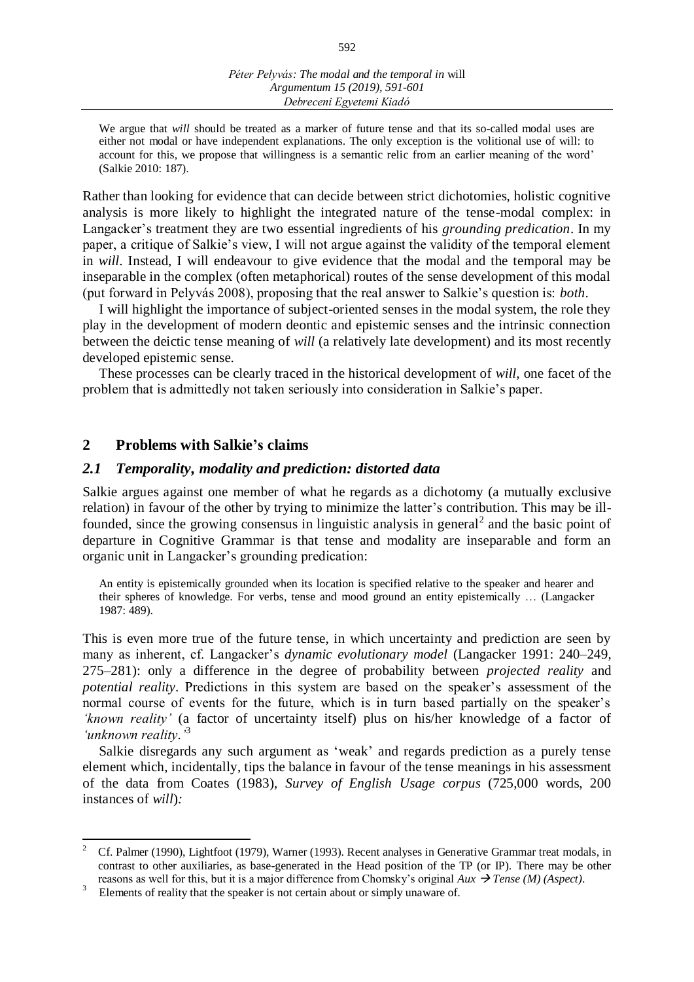We argue that *will* should be treated as a marker of future tense and that its so-called modal uses are either not modal or have independent explanations. The only exception is the volitional use of will: to account for this, we propose that willingness is a semantic relic from an earlier meaning of the word' (Salkie 2010: 187).

Rather than looking for evidence that can decide between strict dichotomies, holistic cognitive analysis is more likely to highlight the integrated nature of the tense-modal complex: in Langacker's treatment they are two essential ingredients of his *grounding predication*. In my paper, a critique of Salkie's view, I will not argue against the validity of the temporal element in *will.* Instead, I will endeavour to give evidence that the modal and the temporal may be inseparable in the complex (often metaphorical) routes of the sense development of this modal (put forward in Pelyvás 2008), proposing that the real answer to Salkie's question is: *both*.

I will highlight the importance of subject-oriented senses in the modal system, the role they play in the development of modern deontic and epistemic senses and the intrinsic connection between the deictic tense meaning of *will* (a relatively late development) and its most recently developed epistemic sense.

These processes can be clearly traced in the historical development of *will,* one facet of the problem that is admittedly not taken seriously into consideration in Salkie's paper.

#### **2 Problems with Salkie's claims**

 $\overline{a}$ 

#### *2.1 Temporality, modality and prediction: distorted data*

Salkie argues against one member of what he regards as a dichotomy (a mutually exclusive relation) in favour of the other by trying to minimize the latter's contribution. This may be illfounded, since the growing consensus in linguistic analysis in general<sup>2</sup> and the basic point of departure in Cognitive Grammar is that tense and modality are inseparable and form an organic unit in Langacker's grounding predication:

An entity is epistemically grounded when its location is specified relative to the speaker and hearer and their spheres of knowledge. For verbs, tense and mood ground an entity epistemically … (Langacker 1987: 489).

This is even more true of the future tense, in which uncertainty and prediction are seen by many as inherent, cf. Langacker's *dynamic evolutionary model* (Langacker 1991: 240–249, 275–281): only a difference in the degree of probability between *projected reality* and *potential reality*. Predictions in this system are based on the speaker's assessment of the normal course of events for the future, which is in turn based partially on the speaker's *'known reality'* (a factor of uncertainty itself) plus on his/her knowledge of a factor of *'unknown reality.'* 3

Salkie disregards any such argument as 'weak' and regards prediction as a purely tense element which, incidentally, tips the balance in favour of the tense meanings in his assessment of the data from Coates (1983), *Survey of English Usage corpus* (725,000 words, 200 instances of *will*)*:*

<sup>2</sup> Cf. Palmer (1990), Lightfoot (1979), Warner (1993). Recent analyses in Generative Grammar treat modals, in contrast to other auxiliaries, as base-generated in the Head position of the TP (or IP). There may be other reasons as well for this, but it is a major difference from Chomsky's original *Aux Tense (M) (Aspect)*.

<sup>3</sup> Elements of reality that the speaker is not certain about or simply unaware of.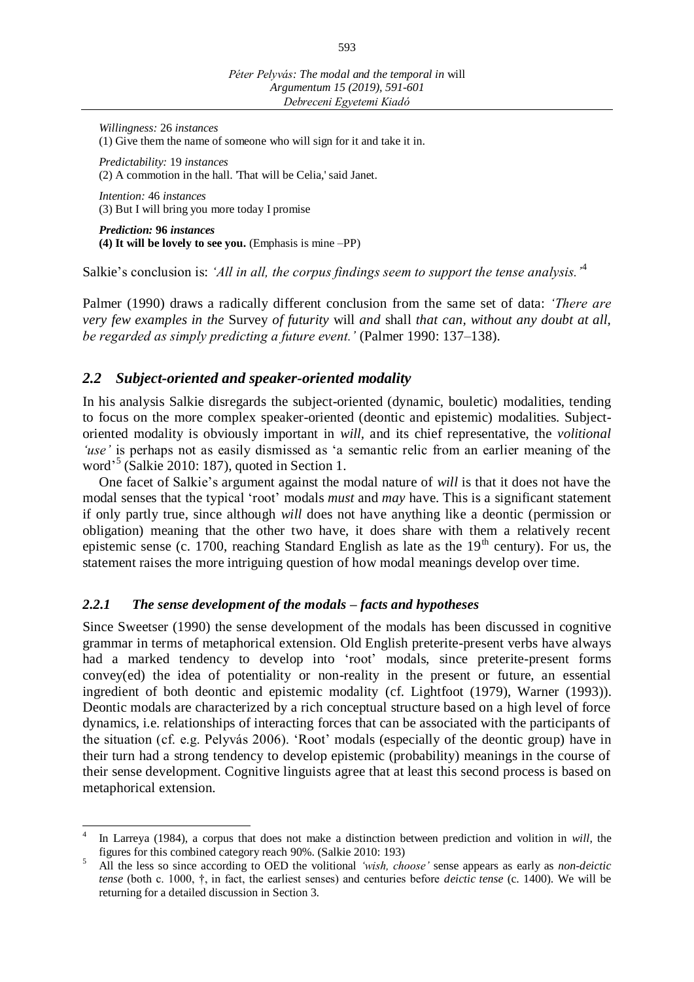*Willingness:* 26 *instances* (1) Give them the name of someone who will sign for it and take it in.

*Predictability:* 19 *instances* (2) A commotion in the hall. 'That will be Celia,' said Janet.

*Intention:* 46 *instances* (3) But I will bring you more today I promise

*Prediction:* **96** *instances* **(4) It will be lovely to see you.** (Emphasis is mine –PP)

Salkie's conclusion is: *'All in all, the corpus findings seem to support the tense analysis.'*<sup>4</sup>

Palmer (1990) draws a radically different conclusion from the same set of data: *'There are very few examples in the* Survey *of futurity* will *and* shall *that can, without any doubt at all, be regarded as simply predicting a future event.'* (Palmer 1990: 137–138).

## *2.2 Subject-oriented and speaker-oriented modality*

In his analysis Salkie disregards the subject-oriented (dynamic, bouletic) modalities, tending to focus on the more complex speaker-oriented (deontic and epistemic) modalities. Subjectoriented modality is obviously important in *will,* and its chief representative, the *volitional 'use'* is perhaps not as easily dismissed as 'a semantic relic from an earlier meaning of the word' 5 (Salkie 2010: 187), quoted in Section 1.

One facet of Salkie's argument against the modal nature of *will* is that it does not have the modal senses that the typical 'root' modals *must* and *may* have. This is a significant statement if only partly true, since although *will* does not have anything like a deontic (permission or obligation) meaning that the other two have, it does share with them a relatively recent epistemic sense (c. 1700, reaching Standard English as late as the  $19<sup>th</sup>$  century). For us, the statement raises the more intriguing question of how modal meanings develop over time.

#### *2.2.1 The sense development of the modals – facts and hypotheses*

Since Sweetser (1990) the sense development of the modals has been discussed in cognitive grammar in terms of metaphorical extension. Old English preterite-present verbs have always had a marked tendency to develop into 'root' modals, since preterite-present forms convey(ed) the idea of potentiality or non-reality in the present or future, an essential ingredient of both deontic and epistemic modality (cf. Lightfoot (1979), Warner (1993)). Deontic modals are characterized by a rich conceptual structure based on a high level of force dynamics, i.e. relationships of interacting forces that can be associated with the participants of the situation (cf. e.g. Pelyvás 2006). 'Root' modals (especially of the deontic group) have in their turn had a strong tendency to develop epistemic (probability) meanings in the course of their sense development. Cognitive linguists agree that at least this second process is based on metaphorical extension.

 4 In Larreya (1984), a corpus that does not make a distinction between prediction and volition in *will*, the figures for this combined category reach 90%. (Salkie 2010: 193)

<sup>5</sup> All the less so since according to OED the volitional *'wish, choose'* sense appears as early as *non-deictic tense* (both c. 1000, †, in fact, the earliest senses) and centuries before *deictic tense* (c. 1400). We will be returning for a detailed discussion in Section 3.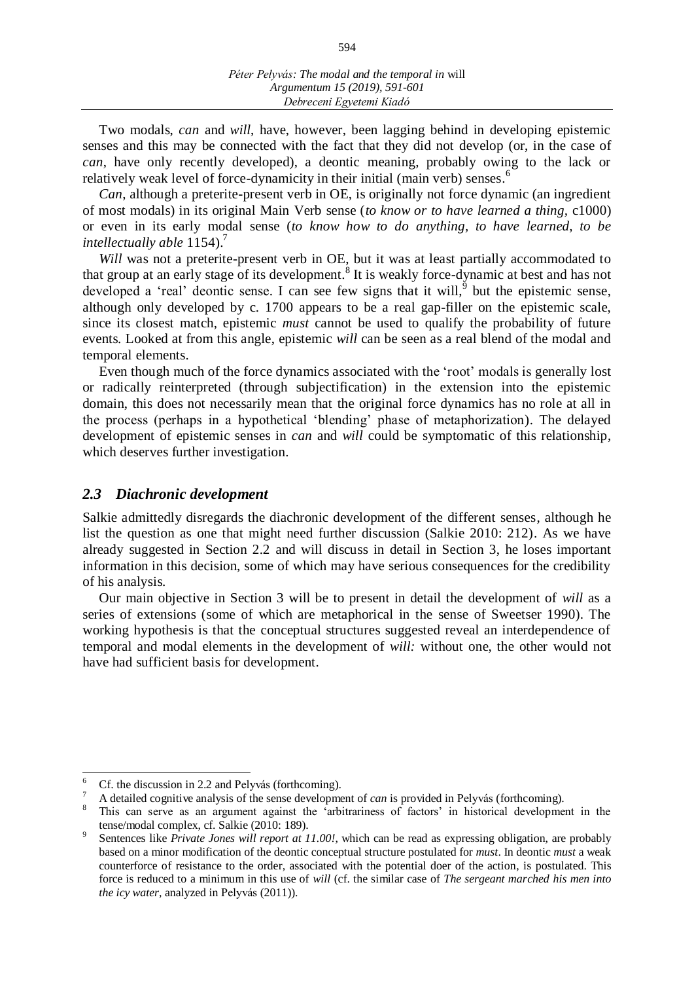Two modals, *can* and *will*, have, however, been lagging behind in developing epistemic senses and this may be connected with the fact that they did not develop (or, in the case of *can*, have only recently developed), a deontic meaning, probably owing to the lack or relatively weak level of force-dynamicity in their initial (main verb) senses.<sup>6</sup>

*Can*, although a preterite-present verb in OE, is originally not force dynamic (an ingredient of most modals) in its original Main Verb sense (*to know or to have learned a thing,* c1000) or even in its early modal sense (*to know how to do anything, to have learned, to be intellectually able* 1154). 7

*Will* was not a preterite-present verb in OE, but it was at least partially accommodated to that group at an early stage of its development.<sup>8</sup> It is weakly force-dynamic at best and has not developed a 'real' deontic sense. I can see few signs that it will, but the epistemic sense, although only developed by c. 1700 appears to be a real gap-filler on the epistemic scale, since its closest match, epistemic *must* cannot be used to qualify the probability of future events. Looked at from this angle, epistemic *will* can be seen as a real blend of the modal and temporal elements.

Even though much of the force dynamics associated with the 'root' modals is generally lost or radically reinterpreted (through subjectification) in the extension into the epistemic domain, this does not necessarily mean that the original force dynamics has no role at all in the process (perhaps in a hypothetical 'blending' phase of metaphorization). The delayed development of epistemic senses in *can* and *will* could be symptomatic of this relationship, which deserves further investigation.

#### *2.3 Diachronic development*

Salkie admittedly disregards the diachronic development of the different senses, although he list the question as one that might need further discussion (Salkie 2010: 212). As we have already suggested in Section 2.2 and will discuss in detail in Section 3, he loses important information in this decision, some of which may have serious consequences for the credibility of his analysis.

Our main objective in Section 3 will be to present in detail the development of *will* as a series of extensions (some of which are metaphorical in the sense of Sweetser 1990). The working hypothesis is that the conceptual structures suggested reveal an interdependence of temporal and modal elements in the development of *will:* without one, the other would not have had sufficient basis for development.

<sup>6</sup>  $\frac{6}{7}$  Cf. the discussion in 2.2 and Pelyvás (forthcoming).

<sup>7</sup> A detailed cognitive analysis of the sense development of *can* is provided in Pelyvás (forthcoming).

<sup>8</sup> This can serve as an argument against the 'arbitrariness of factors' in historical development in the tense/modal complex, cf. Salkie (2010: 189).

<sup>9</sup> Sentences like *Private Jones will report at 11.00!*, which can be read as expressing obligation, are probably based on a minor modification of the deontic conceptual structure postulated for *must*. In deontic *must* a weak counterforce of resistance to the order, associated with the potential doer of the action, is postulated. This force is reduced to a minimum in this use of *will* (cf. the similar case of *The sergeant marched his men into the icy water,* analyzed in Pelyvás (2011)).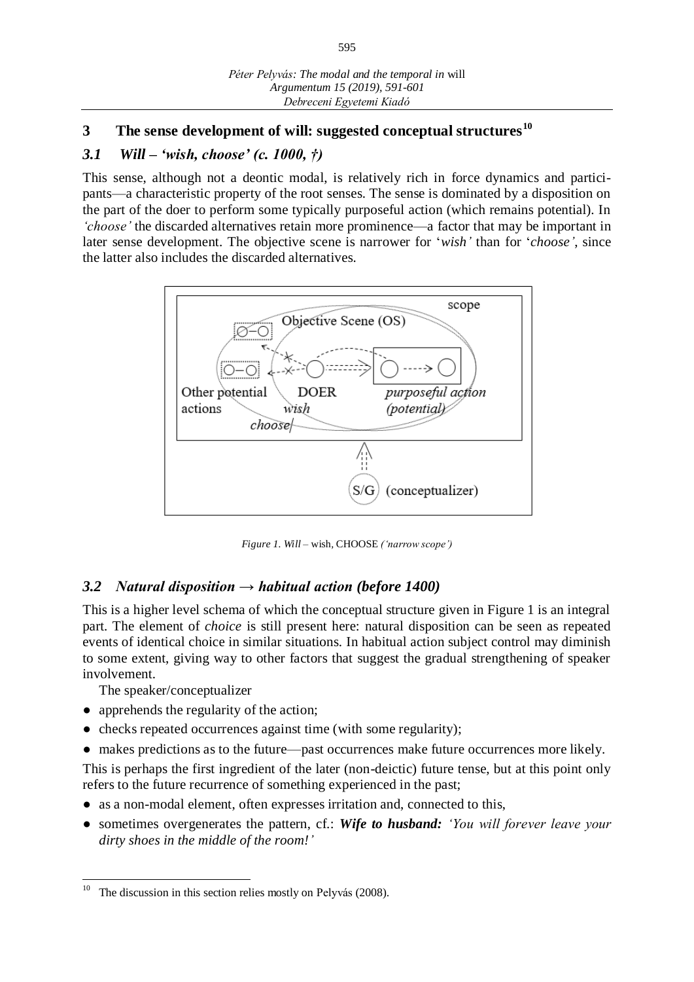# **3 The sense development of will: suggested conceptual structures<sup>10</sup>**

### *3.1 Will – 'wish, choose' (c. 1000, †)*

This sense, although not a deontic modal, is relatively rich in force dynamics and participants—a characteristic property of the root senses. The sense is dominated by a disposition on the part of the doer to perform some typically purposeful action (which remains potential). In *'choose'* the discarded alternatives retain more prominence—a factor that may be important in later sense development. The objective scene is narrower for '*wish'* than for '*choose'*, since the latter also includes the discarded alternatives.



*Figure 1. Will –* wish*,* CHOOSE *('narrow scope')*

# *3.2 Natural disposition → habitual action (before 1400)*

This is a higher level schema of which the conceptual structure given in Figure 1 is an integral part. The element of *choice* is still present here: natural disposition can be seen as repeated events of identical choice in similar situations. In habitual action subject control may diminish to some extent, giving way to other factors that suggest the gradual strengthening of speaker involvement.

The speaker/conceptualizer

- apprehends the regularity of the action;
- checks repeated occurrences against time (with some regularity);
- makes predictions as to the future—past occurrences make future occurrences more likely.

This is perhaps the first ingredient of the later (non-deictic) future tense, but at this point only refers to the future recurrence of something experienced in the past;

- as a non-modal element, often expresses irritation and, connected to this,
- sometimes overgenerates the pattern, cf.: *Wife to husband: 'You will forever leave your dirty shoes in the middle of the room!'*

 $10\,$ The discussion in this section relies mostly on Pelyvás (2008).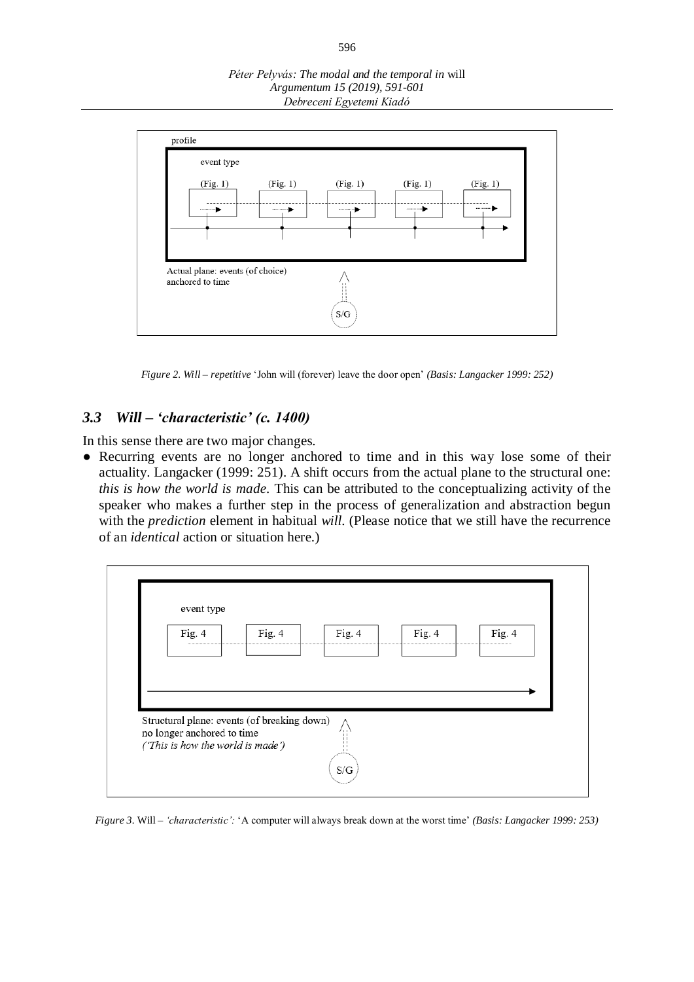*Péter Pelyvás: The modal and the temporal in* will *Argumentum 15 (2019), 591-601 Debreceni Egyetemi Kiadó*



*Figure 2. Will – repetitive* 'John will (forever) leave the door open' *(Basis: Langacker 1999: 252)*

#### *3.3 Will – 'characteristic' (c. 1400)*

In this sense there are two major changes.

• Recurring events are no longer anchored to time and in this way lose some of their actuality. Langacker (1999: 251). A shift occurs from the actual plane to the structural one: *this is how the world is made.* This can be attributed to the conceptualizing activity of the speaker who makes a further step in the process of generalization and abstraction begun with the *prediction* element in habitual *will.* (Please notice that we still have the recurrence of an *identical* action or situation here.)



*Figure 3.* Will *– 'characteristic':* 'A computer will always break down at the worst time' *(Basis: Langacker 1999: 253)*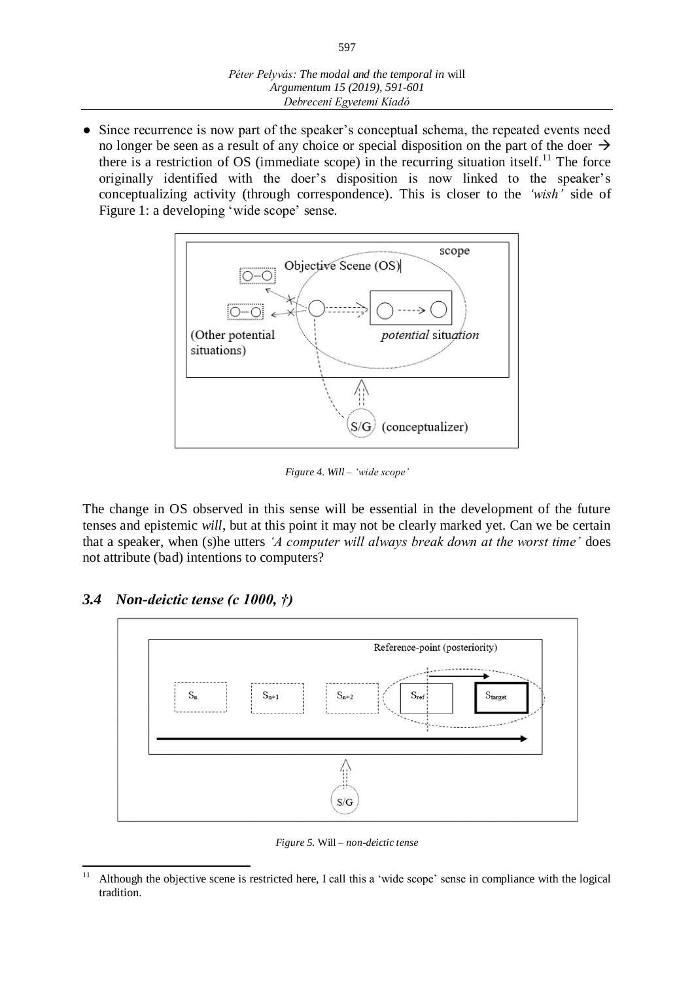• Since recurrence is now part of the speaker's conceptual schema, the repeated events need no longer be seen as a result of any choice or special disposition on the part of the doer  $\rightarrow$ there is a restriction of OS (immediate scope) in the recurring situation itself.<sup>11</sup> The force originally identified with the doer's disposition is now linked to the speaker's conceptualizing activity (through correspondence). This is closer to the *'wish'* side of Figure 1: a developing 'wide scope' sense.



*Figure 4. Will – 'wide scope'*

The change in OS observed in this sense will be essential in the development of the future tenses and epistemic *will*, but at this point it may not be clearly marked yet. Can we be certain that a speaker, when (s)he utters *'A computer will always break down at the worst time'* does not attribute (bad) intentions to computers?

# *3.4 Non-deictic tense (c 1000, †)*



*Figure 5.* Will *– non-deictic tense*

 $\overline{11}$ <sup>11</sup> Although the objective scene is restricted here, I call this a 'wide scope' sense in compliance with the logical tradition.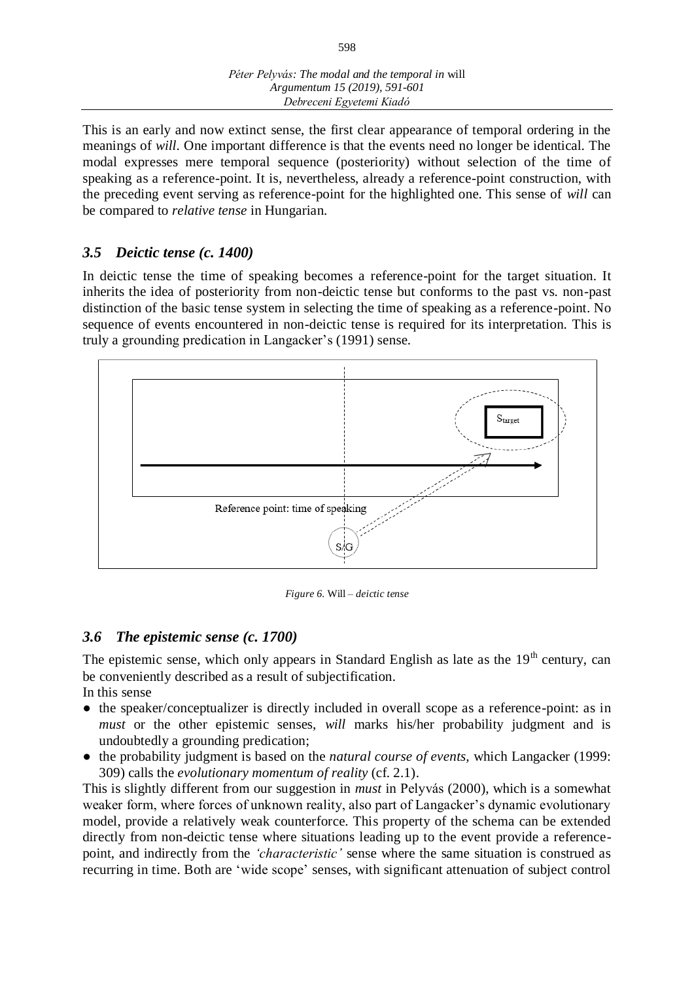This is an early and now extinct sense, the first clear appearance of temporal ordering in the meanings of *will*. One important difference is that the events need no longer be identical. The modal expresses mere temporal sequence (posteriority) without selection of the time of speaking as a reference-point. It is, nevertheless, already a reference-point construction, with the preceding event serving as reference-point for the highlighted one. This sense of *will* can be compared to *relative tense* in Hungarian.

# *3.5 Deictic tense (c. 1400)*

In deictic tense the time of speaking becomes a reference-point for the target situation. It inherits the idea of posteriority from non-deictic tense but conforms to the past vs. non-past distinction of the basic tense system in selecting the time of speaking as a reference-point. No sequence of events encountered in non-deictic tense is required for its interpretation. This is truly a grounding predication in Langacker's (1991) sense.



*Figure 6.* Will *– deictic tense*

# *3.6 The epistemic sense (c. 1700)*

The epistemic sense, which only appears in Standard English as late as the  $19<sup>th</sup>$  century, can be conveniently described as a result of subjectification. In this sense

- the speaker/conceptualizer is directly included in overall scope as a reference-point: as in *must* or the other epistemic senses, *will* marks his/her probability judgment and is undoubtedly a grounding predication;
- the probability judgment is based on the *natural course of events,* which Langacker (1999: 309) calls the *evolutionary momentum of reality* (cf. 2.1).

This is slightly different from our suggestion in *must* in Pelyvás (2000), which is a somewhat weaker form, where forces of unknown reality, also part of Langacker's dynamic evolutionary model, provide a relatively weak counterforce. This property of the schema can be extended directly from non-deictic tense where situations leading up to the event provide a referencepoint, and indirectly from the *'characteristic'* sense where the same situation is construed as recurring in time. Both are 'wide scope' senses, with significant attenuation of subject control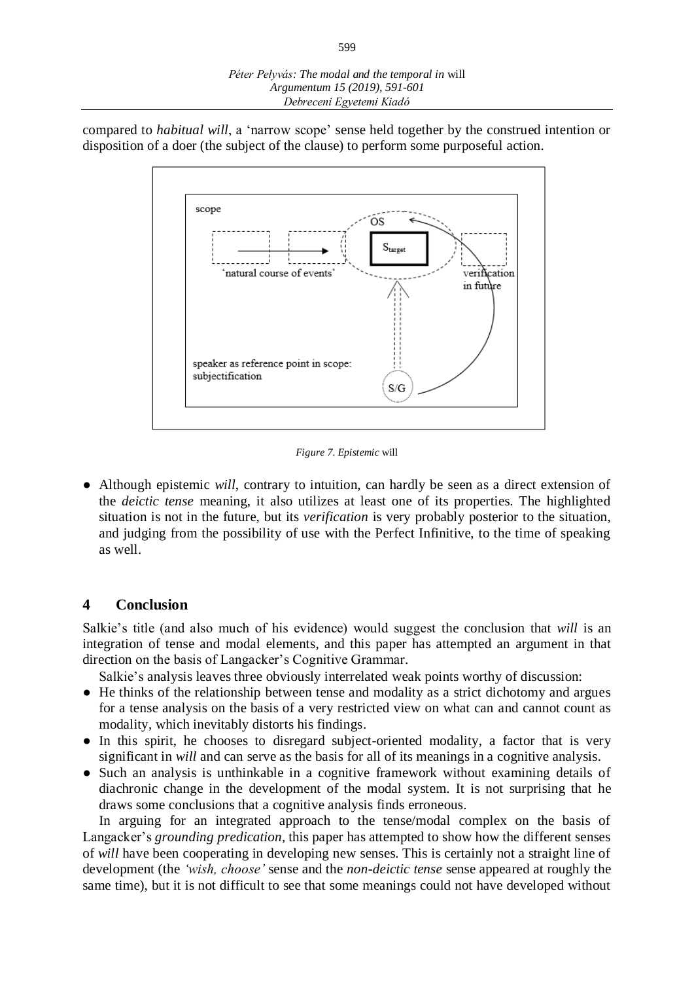compared to *habitual will*, a 'narrow scope' sense held together by the construed intention or disposition of a doer (the subject of the clause) to perform some purposeful action.



*Figure 7. Epistemic* will

● Although epistemic *will*, contrary to intuition, can hardly be seen as a direct extension of the *deictic tense* meaning, it also utilizes at least one of its properties. The highlighted situation is not in the future, but its *verification* is very probably posterior to the situation, and judging from the possibility of use with the Perfect Infinitive, to the time of speaking as well.

#### **4 Conclusion**

Salkie's title (and also much of his evidence) would suggest the conclusion that *will* is an integration of tense and modal elements, and this paper has attempted an argument in that direction on the basis of Langacker's Cognitive Grammar.

Salkie's analysis leaves three obviously interrelated weak points worthy of discussion:

- He thinks of the relationship between tense and modality as a strict dichotomy and argues for a tense analysis on the basis of a very restricted view on what can and cannot count as modality, which inevitably distorts his findings.
- In this spirit, he chooses to disregard subject-oriented modality, a factor that is very significant in *will* and can serve as the basis for all of its meanings in a cognitive analysis.
- Such an analysis is unthinkable in a cognitive framework without examining details of diachronic change in the development of the modal system. It is not surprising that he draws some conclusions that a cognitive analysis finds erroneous.

In arguing for an integrated approach to the tense/modal complex on the basis of Langacker's *grounding predication,* this paper has attempted to show how the different senses of *will* have been cooperating in developing new senses. This is certainly not a straight line of development (the *'wish, choose'* sense and the *non-deictic tense* sense appeared at roughly the same time), but it is not difficult to see that some meanings could not have developed without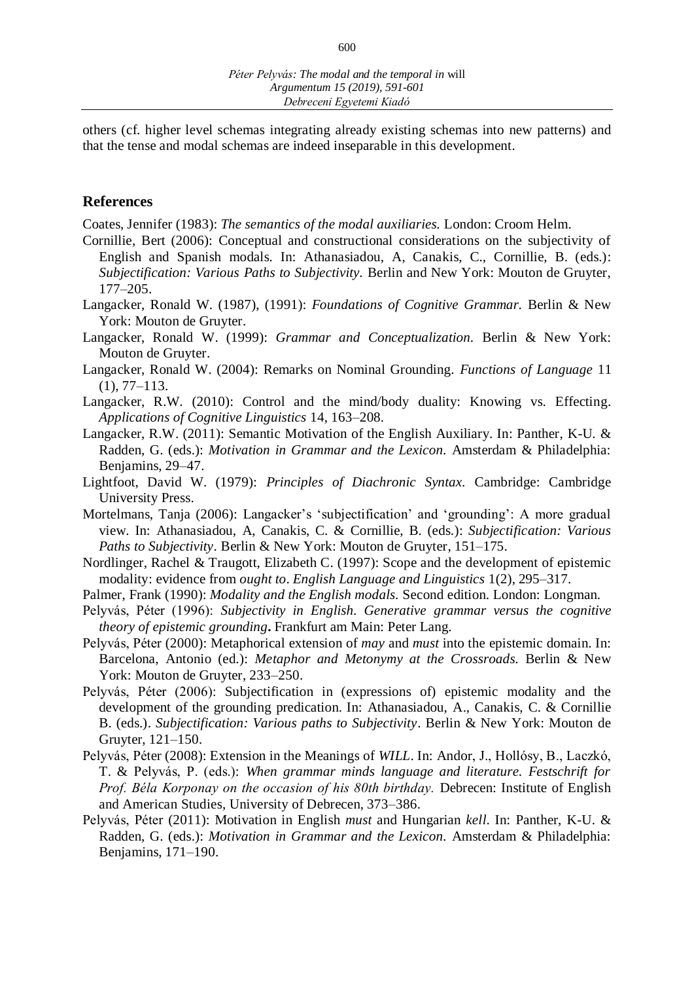others (cf. higher level schemas integrating already existing schemas into new patterns) and that the tense and modal schemas are indeed inseparable in this development.

#### **References**

Coates, Jennifer (1983): *The semantics of the modal auxiliaries.* London: Croom Helm.

- Cornillie, Bert (2006): Conceptual and constructional considerations on the subjectivity of English and Spanish modals. In: Athanasiadou, A, Canakis, C., Cornillie, B. (eds.): *Subjectification: Various Paths to Subjectivity.* Berlin and New York: Mouton de Gruyter, 177–205.
- Langacker, Ronald W. (1987), (1991): *Foundations of Cognitive Grammar.* Berlin & New York: Mouton de Gruyter.
- Langacker, Ronald W. (1999): *Grammar and Conceptualization.* Berlin & New York: Mouton de Gruyter.
- Langacker, Ronald W. (2004): Remarks on Nominal Grounding. *Functions of Language* 11  $(1), 77-113.$
- Langacker, R.W. (2010): Control and the mind/body duality: Knowing vs. Effecting. *Applications of Cognitive Linguistics* 14, 163–208.
- Langacker, R.W. (2011): Semantic Motivation of the English Auxiliary. In: Panther, K-U. & Radden, G. (eds.): *Motivation in Grammar and the Lexicon.* Amsterdam & Philadelphia: Benjamins, 29–47.
- Lightfoot, David W. (1979): *Principles of Diachronic Syntax.* Cambridge: Cambridge University Press.
- Mortelmans, Tanja (2006): Langacker's 'subjectification' and 'grounding': A more gradual view. In: Athanasiadou, A, Canakis, C. & Cornillie, B. (eds.): *Subjectification: Various Paths to Subjectivity*. Berlin & New York: Mouton de Gruyter, 151–175.
- Nordlinger, Rachel & Traugott, Elizabeth C. (1997): Scope and the development of epistemic modality: evidence from *ought to*. *English Language and Linguistics* 1(2), 295–317.
- Palmer, Frank (1990): *Modality and the English modals.* Second edition. London: Longman.
- Pelyvás, Péter (1996): *Subjectivity in English. Generative grammar versus the cognitive theory of epistemic grounding***.** Frankfurt am Main: Peter Lang.
- Pelyvás, Péter (2000): Metaphorical extension of *may* and *must* into the epistemic domain. In: Barcelona, Antonio (ed.): *Metaphor and Metonymy at the Crossroads.* Berlin & New York: Mouton de Gruyter, 233–250.
- Pelyvás, Péter (2006): Subjectification in (expressions of) epistemic modality and the development of the grounding predication. In: Athanasiadou, A., Canakis, C. & Cornillie B. (eds.). *Subjectification: Various paths to Subjectivity*. Berlin & New York: Mouton de Gruyter, 121–150.
- Pelyvás, Péter (2008): Extension in the Meanings of *WILL*. In: Andor, J., Hollósy, B., Laczkó, T. & Pelyvás, P. (eds.): *When grammar minds language and literature. Festschrift for Prof. Béla Korponay on the occasion of his 80th birthday.* Debrecen: Institute of English and American Studies, University of Debrecen, 373–386.
- Pelyvás, Péter (2011): Motivation in English *must* and Hungarian *kell*. In: Panther, K-U. & Radden, G. (eds.): *Motivation in Grammar and the Lexicon.* Amsterdam & Philadelphia: Benjamins, 171–190.